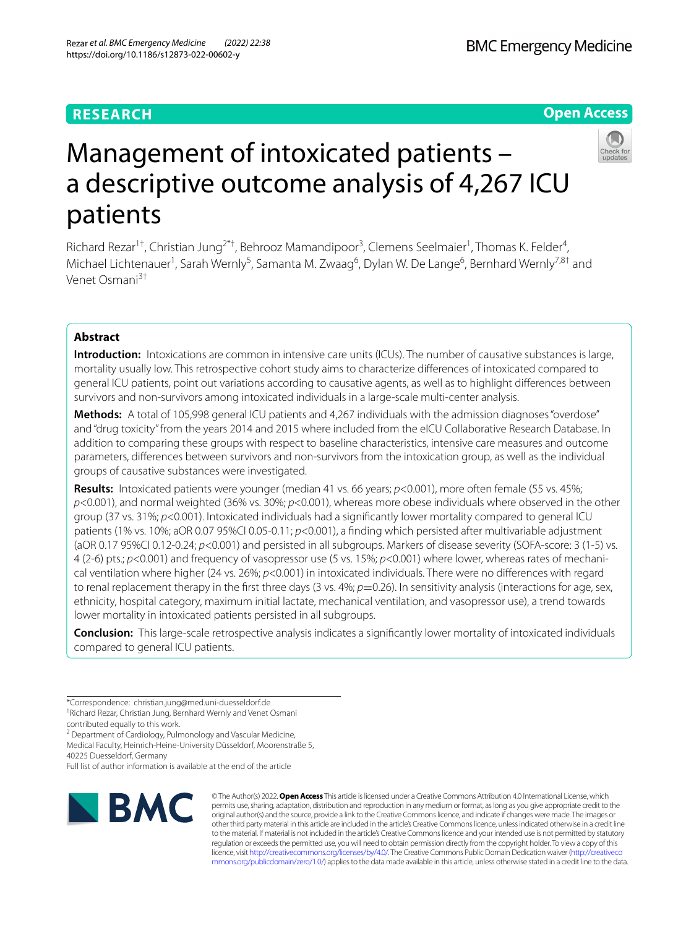## **RESEARCH**

## **Open Access**



# Management of intoxicated patients – a descriptive outcome analysis of 4,267 ICU patients

Richard Rezar<sup>1†</sup>, Christian Jung<sup>2\*†</sup>, Behrooz Mamandipoor<sup>3</sup>, Clemens Seelmaier<sup>1</sup>, Thomas K. Felder<sup>4</sup>, Michael Lichtenauer<sup>1</sup>, Sarah Wernly<sup>5</sup>, Samanta M. Zwaag<sup>6</sup>, Dylan W. De Lange<sup>6</sup>, Bernhard Wernly<sup>7,8†</sup> and Venet Osmani3†

## **Abstract**

**Introduction:** Intoxications are common in intensive care units (ICUs). The number of causative substances is large, mortality usually low. This retrospective cohort study aims to characterize diferences of intoxicated compared to general ICU patients, point out variations according to causative agents, as well as to highlight diferences between survivors and non-survivors among intoxicated individuals in a large-scale multi-center analysis.

**Methods:** A total of 105,998 general ICU patients and 4,267 individuals with the admission diagnoses "overdose" and "drug toxicity" from the years 2014 and 2015 where included from the eICU Collaborative Research Database. In addition to comparing these groups with respect to baseline characteristics, intensive care measures and outcome parameters, diferences between survivors and non-survivors from the intoxication group, as well as the individual groups of causative substances were investigated.

**Results:** Intoxicated patients were younger (median 41 vs. 66 years; *p*<0.001), more often female (55 vs. 45%; *p*<0.001), and normal weighted (36% vs. 30%; *p*<0.001), whereas more obese individuals where observed in the other group (37 vs. 31%; *p*<0.001). Intoxicated individuals had a signifcantly lower mortality compared to general ICU patients (1% vs. 10%; aOR 0.07 95%CI 0.05-0.11; *p*<0.001), a fnding which persisted after multivariable adjustment (aOR 0.17 95%CI 0.12-0.24; *p*<0.001) and persisted in all subgroups. Markers of disease severity (SOFA-score: 3 (1-5) vs. 4 (2-6) pts.; *p*<0.001) and frequency of vasopressor use (5 vs. 15%; *p*<0.001) where lower, whereas rates of mechanical ventilation where higher (24 vs. 26%; *p*<0.001) in intoxicated individuals. There were no diferences with regard to renal replacement therapy in the first three days (3 vs. 4%;  $p=0.26$ ). In sensitivity analysis (interactions for age, sex, ethnicity, hospital category, maximum initial lactate, mechanical ventilation, and vasopressor use), a trend towards lower mortality in intoxicated patients persisted in all subgroups.

**Conclusion:** This large-scale retrospective analysis indicates a signifcantly lower mortality of intoxicated individuals compared to general ICU patients.

<sup>2</sup> Department of Cardiology, Pulmonology and Vascular Medicine, Medical Faculty, Heinrich-Heine-University Düsseldorf, Moorenstraße 5,

40225 Duesseldorf, Germany

Full list of author information is available at the end of the article



© The Author(s) 2022. **Open Access** This article is licensed under a Creative Commons Attribution 4.0 International License, which permits use, sharing, adaptation, distribution and reproduction in any medium or format, as long as you give appropriate credit to the original author(s) and the source, provide a link to the Creative Commons licence, and indicate if changes were made. The images or other third party material in this article are included in the article's Creative Commons licence, unless indicated otherwise in a credit line to the material. If material is not included in the article's Creative Commons licence and your intended use is not permitted by statutory regulation or exceeds the permitted use, you will need to obtain permission directly from the copyright holder. To view a copy of this licence, visit [http://creativecommons.org/licenses/by/4.0/.](http://creativecommons.org/licenses/by/4.0/) The Creative Commons Public Domain Dedication waiver ([http://creativeco](http://creativecommons.org/publicdomain/zero/1.0/) [mmons.org/publicdomain/zero/1.0/](http://creativecommons.org/publicdomain/zero/1.0/)) applies to the data made available in this article, unless otherwise stated in a credit line to the data.

<sup>\*</sup>Correspondence: christian.jung@med.uni-duesseldorf.de † Richard Rezar, Christian Jung, Bernhard Wernly and Venet Osmani

contributed equally to this work.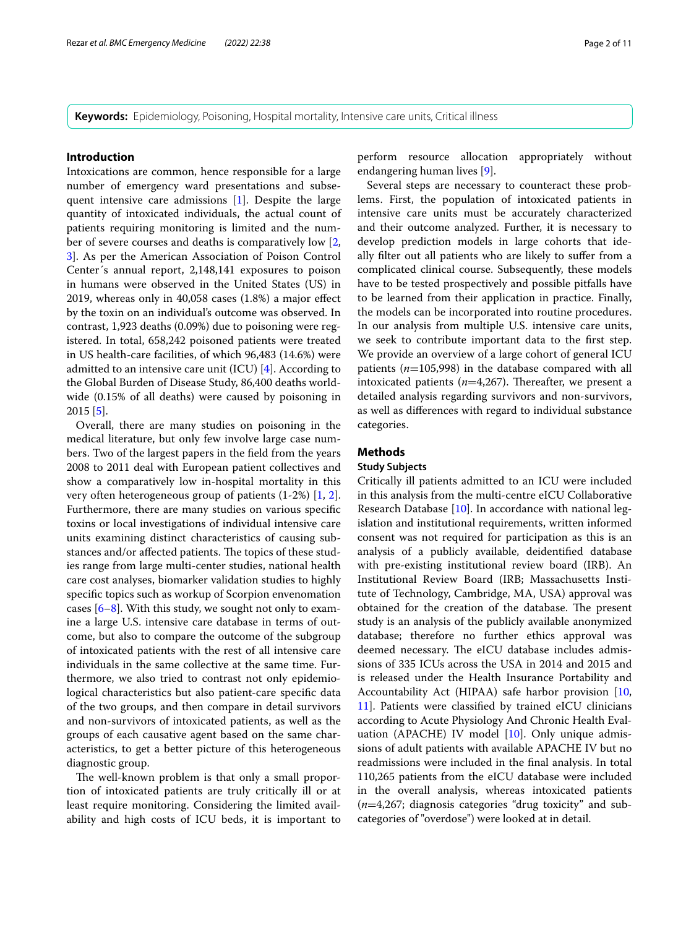#### **Introduction**

Intoxications are common, hence responsible for a large number of emergency ward presentations and subsequent intensive care admissions [[1\]](#page-10-0). Despite the large quantity of intoxicated individuals, the actual count of patients requiring monitoring is limited and the number of severe courses and deaths is comparatively low [\[2](#page-10-1), [3\]](#page-10-2). As per the American Association of Poison Control Center´s annual report, 2,148,141 exposures to poison in humans were observed in the United States (US) in 2019, whereas only in 40,058 cases (1.8%) a major efect by the toxin on an individual's outcome was observed. In contrast, 1,923 deaths (0.09%) due to poisoning were registered. In total, 658,242 poisoned patients were treated in US health-care facilities, of which 96,483 (14.6%) were admitted to an intensive care unit (ICU) [[4\]](#page-10-3). According to the Global Burden of Disease Study, 86,400 deaths worldwide (0.15% of all deaths) were caused by poisoning in 2015 [[5\]](#page-10-4).

Overall, there are many studies on poisoning in the medical literature, but only few involve large case numbers. Two of the largest papers in the feld from the years 2008 to 2011 deal with European patient collectives and show a comparatively low in-hospital mortality in this very often heterogeneous group of patients (1-2%) [\[1](#page-10-0), [2](#page-10-1)]. Furthermore, there are many studies on various specifc toxins or local investigations of individual intensive care units examining distinct characteristics of causing substances and/or affected patients. The topics of these studies range from large multi-center studies, national health care cost analyses, biomarker validation studies to highly specifc topics such as workup of Scorpion envenomation cases  $[6-8]$  $[6-8]$  $[6-8]$ . With this study, we sought not only to examine a large U.S. intensive care database in terms of outcome, but also to compare the outcome of the subgroup of intoxicated patients with the rest of all intensive care individuals in the same collective at the same time. Furthermore, we also tried to contrast not only epidemiological characteristics but also patient-care specifc data of the two groups, and then compare in detail survivors and non-survivors of intoxicated patients, as well as the groups of each causative agent based on the same characteristics, to get a better picture of this heterogeneous diagnostic group.

The well-known problem is that only a small proportion of intoxicated patients are truly critically ill or at least require monitoring. Considering the limited availability and high costs of ICU beds, it is important to perform resource allocation appropriately without endangering human lives [[9\]](#page-10-7).

Several steps are necessary to counteract these problems. First, the population of intoxicated patients in intensive care units must be accurately characterized and their outcome analyzed. Further, it is necessary to develop prediction models in large cohorts that ideally flter out all patients who are likely to sufer from a complicated clinical course. Subsequently, these models have to be tested prospectively and possible pitfalls have to be learned from their application in practice. Finally, the models can be incorporated into routine procedures. In our analysis from multiple U.S. intensive care units, we seek to contribute important data to the frst step. We provide an overview of a large cohort of general ICU patients (*n*=105,998) in the database compared with all intoxicated patients  $(n=4,267)$ . Thereafter, we present a detailed analysis regarding survivors and non-survivors, as well as diferences with regard to individual substance categories.

## **Methods**

## **Study Subjects**

Critically ill patients admitted to an ICU were included in this analysis from the multi-centre eICU Collaborative Research Database [[10\]](#page-10-8). In accordance with national legislation and institutional requirements, written informed consent was not required for participation as this is an analysis of a publicly available, deidentifed database with pre-existing institutional review board (IRB). An Institutional Review Board (IRB; Massachusetts Institute of Technology, Cambridge, MA, USA) approval was obtained for the creation of the database. The present study is an analysis of the publicly available anonymized database; therefore no further ethics approval was deemed necessary. The eICU database includes admissions of 335 ICUs across the USA in 2014 and 2015 and is released under the Health Insurance Portability and Accountability Act (HIPAA) safe harbor provision [[10](#page-10-8), [11\]](#page-10-9). Patients were classifed by trained eICU clinicians according to Acute Physiology And Chronic Health Evaluation (APACHE) IV model [\[10](#page-10-8)]. Only unique admissions of adult patients with available APACHE IV but no readmissions were included in the fnal analysis. In total 110,265 patients from the eICU database were included in the overall analysis, whereas intoxicated patients (*n*=4,267; diagnosis categories "drug toxicity" and subcategories of "overdose") were looked at in detail.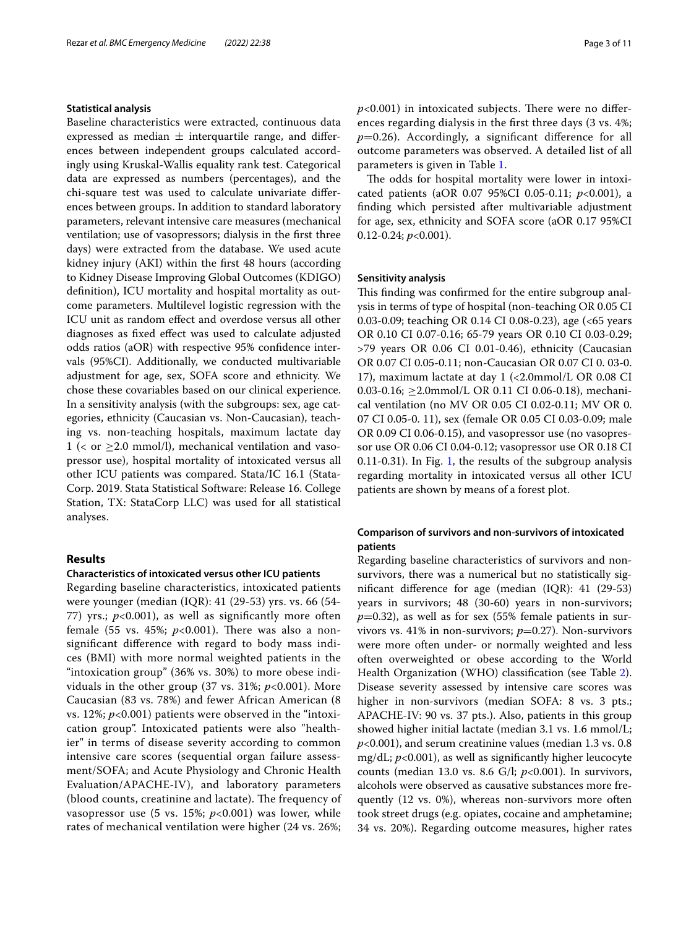#### **Statistical analysis**

Baseline characteristics were extracted, continuous data expressed as median  $\pm$  interquartile range, and differences between independent groups calculated accordingly using Kruskal-Wallis equality rank test. Categorical data are expressed as numbers (percentages), and the chi-square test was used to calculate univariate diferences between groups. In addition to standard laboratory parameters, relevant intensive care measures (mechanical ventilation; use of vasopressors; dialysis in the frst three days) were extracted from the database. We used acute kidney injury (AKI) within the frst 48 hours (according to Kidney Disease Improving Global Outcomes (KDIGO) defnition), ICU mortality and hospital mortality as outcome parameters. Multilevel logistic regression with the ICU unit as random efect and overdose versus all other diagnoses as fxed efect was used to calculate adjusted odds ratios (aOR) with respective 95% confdence intervals (95%CI). Additionally, we conducted multivariable adjustment for age, sex, SOFA score and ethnicity. We chose these covariables based on our clinical experience. In a sensitivity analysis (with the subgroups: sex, age categories, ethnicity (Caucasian vs. Non-Caucasian), teaching vs. non-teaching hospitals, maximum lactate day 1 ( $\lt$  or  $\geq$  2.0 mmol/l), mechanical ventilation and vasopressor use), hospital mortality of intoxicated versus all other ICU patients was compared. Stata/IC 16.1 (Stata-Corp. 2019. Stata Statistical Software: Release 16. College Station, TX: StataCorp LLC) was used for all statistical analyses.

#### **Results**

#### **Characteristics of intoxicated versus other ICU patients**

Regarding baseline characteristics, intoxicated patients were younger (median (IQR): 41 (29-53) yrs. vs. 66 (54- 77) yrs.;  $p<0.001$ ), as well as significantly more often female (55 vs. 45%;  $p<0.001$ ). There was also a nonsignifcant diference with regard to body mass indices (BMI) with more normal weighted patients in the "intoxication group" (36% vs. 30%) to more obese individuals in the other group (37 vs. 31%; *p*<0.001). More Caucasian (83 vs. 78%) and fewer African American (8 vs. 12%;  $p<0.001$ ) patients were observed in the "intoxication group". Intoxicated patients were also "healthier" in terms of disease severity according to common intensive care scores (sequential organ failure assessment/SOFA; and Acute Physiology and Chronic Health Evaluation/APACHE-IV), and laboratory parameters (blood counts, creatinine and lactate). The frequency of vasopressor use  $(5 \text{ vs. } 15\%; p<0.001)$  was lower, while rates of mechanical ventilation were higher (24 vs. 26%;  $p$ <0.001) in intoxicated subjects. There were no differences regarding dialysis in the frst three days (3 vs. 4%; *p*=0.26). Accordingly, a signifcant diference for all outcome parameters was observed. A detailed list of all parameters is given in Table [1.](#page-3-0)

The odds for hospital mortality were lower in intoxicated patients (aOR 0.07 95%CI 0.05-0.11; *p*<0.001), a fnding which persisted after multivariable adjustment for age, sex, ethnicity and SOFA score (aOR 0.17 95%CI 0.12-0.24; *p*<0.001).

#### **Sensitivity analysis**

This finding was confirmed for the entire subgroup analysis in terms of type of hospital (non-teaching OR 0.05 CI 0.03-0.09; teaching OR 0.14 CI 0.08-0.23), age (<65 years OR 0.10 CI 0.07-0.16; 65-79 years OR 0.10 CI 0.03-0.29; >79 years OR 0.06 CI 0.01-0.46), ethnicity (Caucasian OR 0.07 CI 0.05-0.11; non-Caucasian OR 0.07 CI 0. 03-0. 17), maximum lactate at day 1 (<2.0mmol/L OR 0.08 CI 0.03-0.16;  $\geq$  2.0mmol/L OR 0.11 CI 0.06-0.18), mechanical ventilation (no MV OR 0.05 CI 0.02-0.11; MV OR 0. 07 CI 0.05-0. 11), sex (female OR 0.05 CI 0.03-0.09; male OR 0.09 CI 0.06-0.15), and vasopressor use (no vasopressor use OR 0.06 CI 0.04-0.12; vasopressor use OR 0.18 CI 0.11-0.31). In Fig. [1,](#page-5-0) the results of the subgroup analysis regarding mortality in intoxicated versus all other ICU patients are shown by means of a forest plot.

## **Comparison of survivors and non‑survivors of intoxicated patients**

Regarding baseline characteristics of survivors and nonsurvivors, there was a numerical but no statistically signifcant diference for age (median (IQR): 41 (29-53) years in survivors; 48 (30-60) years in non-survivors;  $p=0.32$ ), as well as for sex (55% female patients in survivors vs.  $41\%$  in non-survivors;  $p=0.27$ ). Non-survivors were more often under- or normally weighted and less often overweighted or obese according to the World Health Organization (WHO) classifcation (see Table [2](#page-6-0)). Disease severity assessed by intensive care scores was higher in non-survivors (median SOFA: 8 vs. 3 pts.; APACHE-IV: 90 vs. 37 pts.). Also, patients in this group showed higher initial lactate (median 3.1 vs. 1.6 mmol/L; *p*<0.001), and serum creatinine values (median 1.3 vs. 0.8 mg/dL; *p*<0.001), as well as signifcantly higher leucocyte counts (median 13.0 vs. 8.6 G/l; *p*<0.001). In survivors, alcohols were observed as causative substances more frequently (12 vs. 0%), whereas non-survivors more often took street drugs (e.g. opiates, cocaine and amphetamine; 34 vs. 20%). Regarding outcome measures, higher rates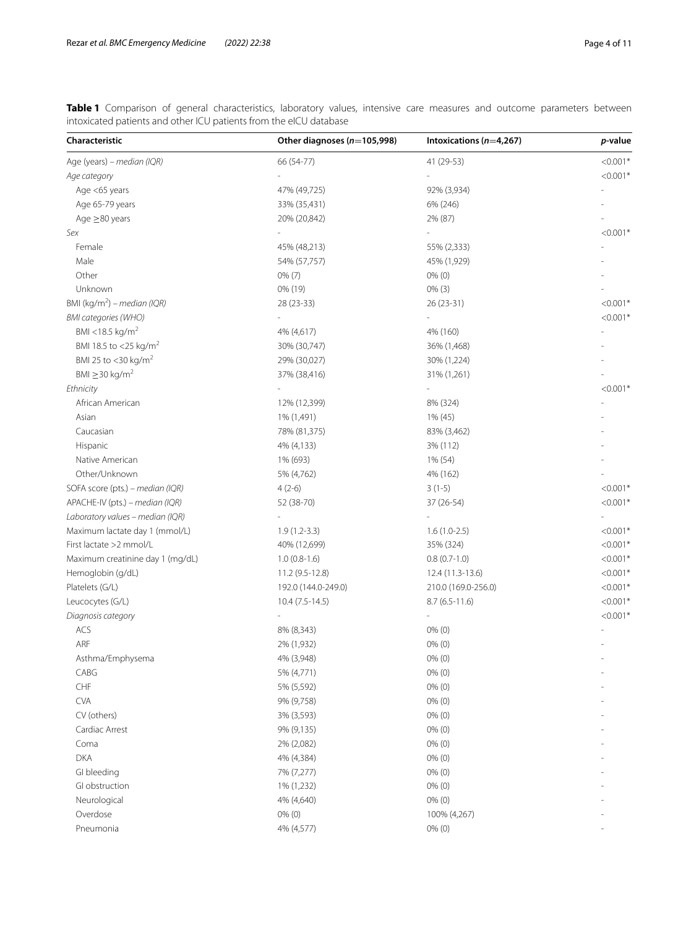<span id="page-3-0"></span>**Table 1** Comparison of general characteristics, laboratory values, intensive care measures and outcome parameters between intoxicated patients and other ICU patients from the eICU database

| Characteristic                          | Other diagnoses ( $n=105,998$ ) | Intoxications $(n=4,267)$ | p-value    |  |
|-----------------------------------------|---------------------------------|---------------------------|------------|--|
| Age (years) - median (IQR)              | 66 (54-77)                      | 41 (29-53)                | $< 0.001*$ |  |
| Age category                            |                                 |                           | $< 0.001*$ |  |
| Age <65 years                           | 47% (49,725)                    | 92% (3,934)               |            |  |
| Age 65-79 years                         | 33% (35,431)                    | 6% (246)                  |            |  |
| Age $\geq$ 80 years                     | 20% (20,842)                    | 2% (87)                   |            |  |
| Sex                                     |                                 |                           | $< 0.001*$ |  |
| Female                                  | 45% (48,213)                    | 55% (2,333)               |            |  |
| Male                                    | 54% (57,757)                    | 45% (1,929)               |            |  |
| Other                                   | $0\%$ (7)                       | $0\%$ (0)                 |            |  |
| Unknown                                 | 0% (19)                         | $0\%$ (3)                 |            |  |
| BMI (kg/m <sup>2</sup> ) - median (IQR) | 28 (23-33)                      | 26 (23-31)                | $< 0.001*$ |  |
| <b>BMI categories (WHO)</b>             |                                 |                           | $< 0.001*$ |  |
| BMI <18.5 kg/m <sup>2</sup>             | 4% (4,617)                      | 4% (160)                  |            |  |
| BMI 18.5 to <25 kg/m <sup>2</sup>       | 30% (30,747)                    | 36% (1,468)               |            |  |
| BMI 25 to <30 kg/m <sup>2</sup>         | 29% (30,027)                    | 30% (1,224)               |            |  |
| BMI $\geq$ 30 kg/m <sup>2</sup>         | 37% (38,416)                    | 31% (1,261)               |            |  |
| Ethnicity                               |                                 |                           | $< 0.001*$ |  |
| African American                        | 12% (12,399)                    | 8% (324)                  |            |  |
| Asian                                   | 1% (1,491)                      | 1% (45)                   |            |  |
| Caucasian                               | 78% (81,375)                    | 83% (3,462)               |            |  |
| Hispanic                                | 4% (4,133)                      | 3% (112)                  |            |  |
| Native American                         | 1% (693)                        | 1% (54)                   |            |  |
| Other/Unknown                           | 5% (4,762)                      | 4% (162)                  |            |  |
| SOFA score (pts.) - median (IQR)        | $4(2-6)$                        | $3(1-5)$                  | $< 0.001*$ |  |
| APACHE-IV (pts.) - median (IQR)         | 52 (38-70)                      | 37 (26-54)                | $< 0.001*$ |  |
| Laboratory values - median (IQR)        |                                 |                           |            |  |
| Maximum lactate day 1 (mmol/L)          | $1.9(1.2-3.3)$                  | $1.6(1.0-2.5)$            | $< 0.001*$ |  |
| First lactate >2 mmol/L                 | 40% (12,699)                    | 35% (324)                 | $< 0.001*$ |  |
| Maximum creatinine day 1 (mg/dL)        | $1.0(0.8-1.6)$                  | $0.8(0.7-1.0)$            | $< 0.001*$ |  |
| Hemoglobin (g/dL)                       | 11.2 (9.5-12.8)                 | 12.4 (11.3-13.6)          | $< 0.001*$ |  |
| Platelets (G/L)                         | 192.0 (144.0-249.0)             | 210.0 (169.0-256.0)       | $< 0.001*$ |  |
| Leucocytes (G/L)                        | $10.4 (7.5 - 14.5)$             | $8.7(6.5-11.6)$           | $< 0.001*$ |  |
| Diagnosis category                      |                                 |                           | $< 0.001*$ |  |
| ACS                                     | 8% (8,343)                      | $0\%$ (0)                 |            |  |
| ARF                                     | 2% (1,932)                      | $0\%$ (0)                 |            |  |
| Asthma/Emphysema                        | 4% (3,948)                      | $0\%$ $(0)$               |            |  |
| CABG                                    | 5% (4,771)                      | $0\%$ (0)                 |            |  |
| ${\sf CHF}$                             | 5% (5,592)                      | $0\%$ (0)                 |            |  |
| <b>CVA</b>                              | 9% (9,758)                      | $0\%$ (0)                 |            |  |
| CV (others)                             | 3% (3,593)                      | $0\%$ (0)                 |            |  |
| Cardiac Arrest                          | 9% (9,135)                      | $0\%$ (0)                 |            |  |
| Coma                                    | 2% (2,082)                      | $0\%$ (0)                 |            |  |
| <b>DKA</b>                              | 4% (4,384)                      | $0\%$ (0)                 |            |  |
| GI bleeding                             | 7% (7,277)                      | $0\%$ (0)                 |            |  |
| GI obstruction                          | 1% (1,232)                      | $0\%$ (0)                 |            |  |
| Neurological                            | 4% (4,640)                      | $0\%$ (0)                 |            |  |
| Overdose                                | $0\%$ (0)                       | 100% (4,267)              |            |  |
| Pneumonia                               | 4% (4,577)                      | $0\%$ (0)                 |            |  |
|                                         |                                 |                           |            |  |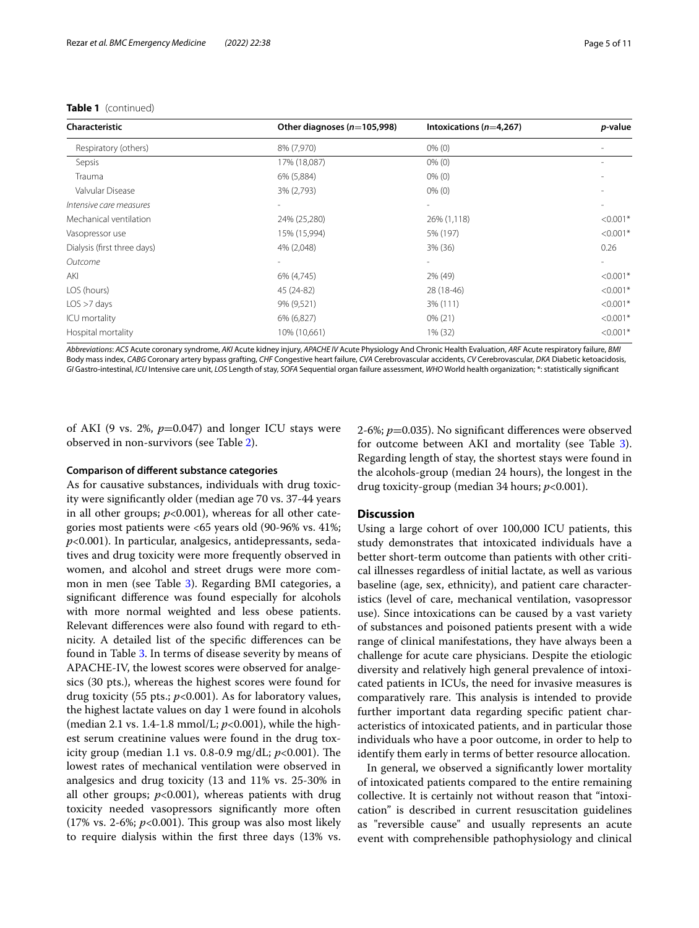| Characteristic              | Other diagnoses ( $n=105,998$ ) | Intoxications $(n=4,267)$ | p-value    |  |
|-----------------------------|---------------------------------|---------------------------|------------|--|
| Respiratory (others)        | 8% (7,970)                      | $0\%$ (0)                 |            |  |
| Sepsis                      | 17% (18,087)                    | $0\%$ (0)                 |            |  |
| Trauma                      | 6% (5,884)                      | $0\%$ (0)                 |            |  |
| Valvular Disease            | 3% (2,793)                      | $0\%$ (0)                 |            |  |
| Intensive care measures     | $\sim$                          | $\overline{\phantom{0}}$  |            |  |
| Mechanical ventilation      | 24% (25,280)                    | 26% (1,118)               | $< 0.001*$ |  |
| Vasopressor use             | 15% (15,994)                    | 5% (197)                  | $< 0.001*$ |  |
| Dialysis (first three days) | 4% (2,048)                      | 3% (36)                   | 0.26       |  |
| Outcome                     |                                 |                           |            |  |
| AKI                         | 6% (4,745)                      | 2% (49)                   | $< 0.001*$ |  |
| LOS (hours)                 | 45 (24-82)                      | 28 (18-46)                | $< 0.001*$ |  |
| LOS > 7 days                | 9% (9,521)                      | 3% (111)                  | $< 0.001*$ |  |
| ICU mortality               | 6% (6,827)                      | $0\%$ (21)                | $< 0.001*$ |  |
| Hospital mortality          | 10% (10,661)                    | 1% (32)                   | $< 0.001*$ |  |

#### **Table 1** (continued)

*Abbreviations*: *ACS* Acute coronary syndrome, *AKI* Acute kidney injury, *APACHE IV* Acute Physiology And Chronic Health Evaluation, *ARF* Acute respiratory failure, *BMI* Body mass index, *CABG* Coronary artery bypass grafting, *CHF* Congestive heart failure, *CVA* Cerebrovascular accidents, *CV* Cerebrovascular, *DKA* Diabetic ketoacidosis, *GI* Gastro-intestinal, *ICU* Intensive care unit, *LOS* Length of stay, *SOFA* Sequential organ failure assessment, *WHO* World health organization; \*: statistically signifcant

of AKI (9 vs. 2%,  $p=0.047$ ) and longer ICU stays were observed in non-survivors (see Table [2](#page-6-0)).

#### **Comparison of diferent substance categories**

As for causative substances, individuals with drug toxicity were signifcantly older (median age 70 vs. 37-44 years in all other groups;  $p<0.001$ ), whereas for all other categories most patients were <65 years old (90-96% vs. 41%; *p*<0.001). In particular, analgesics, antidepressants, sedatives and drug toxicity were more frequently observed in women, and alcohol and street drugs were more common in men (see Table [3\)](#page-8-0). Regarding BMI categories, a signifcant diference was found especially for alcohols with more normal weighted and less obese patients. Relevant diferences were also found with regard to ethnicity. A detailed list of the specifc diferences can be found in Table [3](#page-8-0). In terms of disease severity by means of APACHE-IV, the lowest scores were observed for analgesics (30 pts.), whereas the highest scores were found for drug toxicity (55 pts.; *p*<0.001). As for laboratory values, the highest lactate values on day 1 were found in alcohols (median 2.1 vs. 1.4-1.8 mmol/L; *p*<0.001), while the highest serum creatinine values were found in the drug toxicity group (median 1.1 vs. 0.8-0.9 mg/dL;  $p<0.001$ ). The lowest rates of mechanical ventilation were observed in analgesics and drug toxicity (13 and 11% vs. 25-30% in all other groups;  $p<0.001$ ), whereas patients with drug toxicity needed vasopressors signifcantly more often (17% vs. 2-6%;  $p<0.001$ ). This group was also most likely to require dialysis within the frst three days (13% vs.

2-6%; *p*=0.035). No signifcant diferences were observed for outcome between AKI and mortality (see Table [3](#page-8-0)). Regarding length of stay, the shortest stays were found in the alcohols-group (median 24 hours), the longest in the drug toxicity-group (median 34 hours; *p*<0.001).

#### **Discussion**

Using a large cohort of over 100,000 ICU patients, this study demonstrates that intoxicated individuals have a better short-term outcome than patients with other critical illnesses regardless of initial lactate, as well as various baseline (age, sex, ethnicity), and patient care characteristics (level of care, mechanical ventilation, vasopressor use). Since intoxications can be caused by a vast variety of substances and poisoned patients present with a wide range of clinical manifestations, they have always been a challenge for acute care physicians. Despite the etiologic diversity and relatively high general prevalence of intoxicated patients in ICUs, the need for invasive measures is comparatively rare. This analysis is intended to provide further important data regarding specifc patient characteristics of intoxicated patients, and in particular those individuals who have a poor outcome, in order to help to identify them early in terms of better resource allocation.

In general, we observed a signifcantly lower mortality of intoxicated patients compared to the entire remaining collective. It is certainly not without reason that "intoxication" is described in current resuscitation guidelines as "reversible cause" and usually represents an acute event with comprehensible pathophysiology and clinical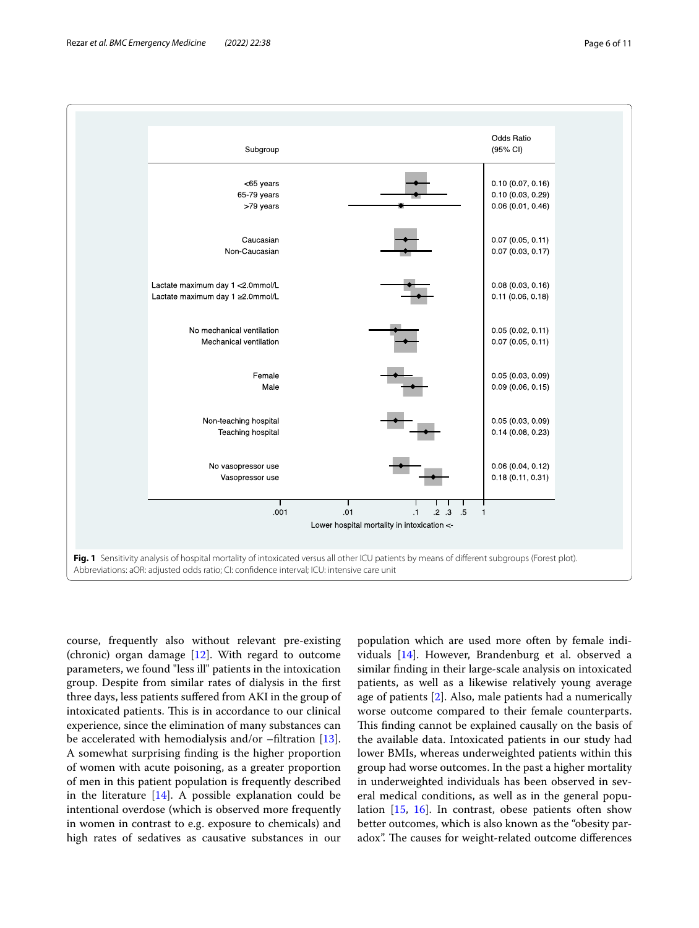

<span id="page-5-0"></span>course, frequently also without relevant pre-existing (chronic) organ damage  $[12]$  $[12]$ . With regard to outcome parameters, we found "less ill" patients in the intoxication group. Despite from similar rates of dialysis in the frst three days, less patients sufered from AKI in the group of intoxicated patients. This is in accordance to our clinical experience, since the elimination of many substances can be accelerated with hemodialysis and/or –fltration [\[13](#page-10-11)]. A somewhat surprising fnding is the higher proportion of women with acute poisoning, as a greater proportion of men in this patient population is frequently described in the literature  $[14]$  $[14]$ . A possible explanation could be intentional overdose (which is observed more frequently in women in contrast to e.g. exposure to chemicals) and high rates of sedatives as causative substances in our population which are used more often by female individuals [[14\]](#page-10-12). However, Brandenburg et al. observed a similar fnding in their large-scale analysis on intoxicated patients, as well as a likewise relatively young average age of patients [[2](#page-10-1)]. Also, male patients had a numerically worse outcome compared to their female counterparts. This finding cannot be explained causally on the basis of the available data. Intoxicated patients in our study had lower BMIs, whereas underweighted patients within this group had worse outcomes. In the past a higher mortality in underweighted individuals has been observed in several medical conditions, as well as in the general population [[15,](#page-10-13) [16](#page-10-14)]. In contrast, obese patients often show better outcomes, which is also known as the "obesity paradox". The causes for weight-related outcome differences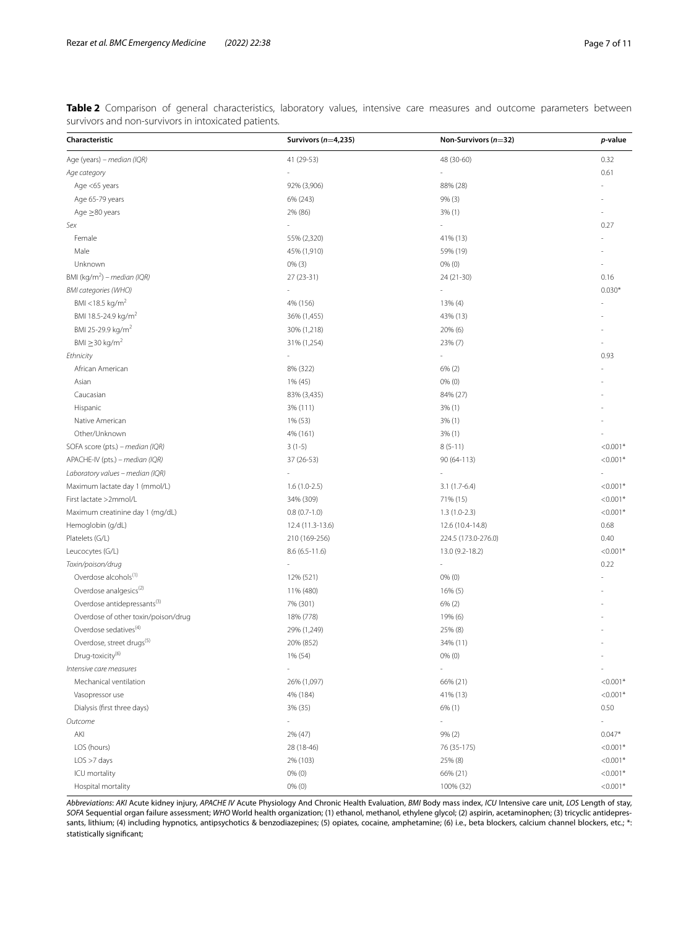<span id="page-6-0"></span>**Table 2** Comparison of general characteristics, laboratory values, intensive care measures and outcome parameters between survivors and non-survivors in intoxicated patients.

| Characteristic                                 | Survivors ( $n=4,235$ ) | Non-Survivors $(n=32)$ | p-value                  |
|------------------------------------------------|-------------------------|------------------------|--------------------------|
| Age (years) - median (IQR)                     | 41 (29-53)              | 48 (30-60)             | 0.32                     |
| Age category                                   |                         |                        | 0.61                     |
| Age <65 years                                  | 92% (3,906)             | 88% (28)               |                          |
| Age 65-79 years                                | 6% (243)                | 9% (3)                 |                          |
| Age $\geq$ 80 years                            | 2% (86)                 | 3% (1)                 |                          |
| Sex                                            |                         |                        | 0.27                     |
| Female                                         | 55% (2,320)             | 41% (13)               |                          |
| Male                                           | 45% (1,910)             | 59% (19)               |                          |
| Unknown                                        | $0\%$ (3)               | $0%$ $(0)$             |                          |
| BMI (kg/m <sup>2</sup> ) – median (IQR)        | $27(23-31)$             | 24 (21-30)             | 0.16                     |
| <b>BMI</b> categories (WHO)                    |                         |                        | $0.030*$                 |
| BMI <18.5 kg/m <sup>2</sup>                    | 4% (156)                | 13% (4)                |                          |
| BMI 18.5-24.9 kg/m <sup>2</sup>                | 36% (1,455)             | 43% (13)               |                          |
| BMI 25-29.9 kg/m <sup>2</sup>                  | 30% (1,218)             | 20% (6)                |                          |
| BMI $\geq$ 30 kg/m <sup>2</sup>                | 31% (1,254)             | 23% (7)                |                          |
| Ethnicity                                      |                         |                        | 0.93                     |
| African American                               | 8% (322)                | 6% (2)                 |                          |
| Asian                                          | 1% (45)                 | $0%$ $(0)$             |                          |
| Caucasian                                      | 83% (3,435)             | 84% (27)               |                          |
| Hispanic                                       | 3% (111)                | 3% (1)                 |                          |
| Native American                                | 1% (53)                 | 3% (1)                 |                          |
| Other/Unknown                                  | 4% (161)                | 3% (1)                 |                          |
| SOFA score (pts.) - median (IQR)               | $3(1-5)$                | $8(5-11)$              | $< 0.001*$               |
| APACHE-IV (pts.) – median (IQR)                | 37 (26-53)              | 90 (64-113)            | $< 0.001*$               |
| Laboratory values - median (IQR)               |                         |                        |                          |
| Maximum lactate day 1 (mmol/L)                 | $1.6(1.0-2.5)$          | $3.1(1.7-6.4)$         | $< 0.001*$               |
| First lactate >2mmol/L                         | 34% (309)               | 71% (15)               | $< 0.001*$               |
| Maximum creatinine day 1 (mg/dL)               | $0.8(0.7-1.0)$          | $1.3(1.0-2.3)$         | $< 0.001*$               |
| Hemoglobin (g/dL)                              | 12.4 (11.3-13.6)        | 12.6 (10.4-14.8)       | 0.68                     |
| Platelets (G/L)                                | 210 (169-256)           | 224.5 (173.0-276.0)    | 0.40                     |
| Leucocytes (G/L)                               | $8.6(6.5-11.6)$         | 13.0 (9.2-18.2)        | $< 0.001*$               |
| Toxin/poison/drug                              |                         | ä,                     | 0.22                     |
| Overdose alcohols <sup>(1)</sup>               | 12% (521)               | $0%$ $(0)$             |                          |
| Overdose analgesics <sup>(2)</sup>             | 11% (480)               | 16% (5)                |                          |
| Overdose antidepressants <sup>(3)</sup>        | 7% (301)                | 6% (2)                 |                          |
| Overdose of other toxin/poison/drug            | 18% (778)               | 19% (6)                |                          |
| Overdose sedatives <sup>(4)</sup>              | 29% (1,249)             | 25% (8)                |                          |
| Overdose, street drugs <sup>(5)</sup>          | 20% (852)               | 34% (11)               |                          |
| Drug-toxicity <sup>(6)</sup>                   |                         |                        |                          |
| Intensive care measures                        | 1% (54)                 | 0% (0)                 | $\overline{\phantom{a}}$ |
|                                                |                         |                        | $< 0.001*$               |
| Mechanical ventilation                         | 26% (1,097)             | 66% (21)               | $< 0.001*$               |
| Vasopressor use<br>Dialysis (first three days) | 4% (184)<br>3% (35)     | 41% (13)               | 0.50                     |
|                                                |                         | $6\%$ (1)              |                          |
| Outcome                                        | ä,                      | $\sim$                 | $\overline{\phantom{a}}$ |
| AKI                                            | 2% (47)<br>28 (18-46)   | 9% (2)                 | $0.047*$                 |
| LOS (hours)                                    |                         | 76 (35-175)            | $< 0.001*$               |
| LOS > 7 days                                   | 2% (103)                | 25% (8)                | $< 0.001*$               |
| ICU mortality                                  | $0\%$ $(0)$             | 66% (21)               | $< 0.001*$               |
| Hospital mortality                             | $0\%$ $(0)$             | 100% (32)              | $< 0.001*$               |

*Abbreviations*: *AKI* Acute kidney injury, *APACHE IV* Acute Physiology And Chronic Health Evaluation, *BMI* Body mass index, *ICU* Intensive care unit, *LOS* Length of stay, *SOFA* Sequential organ failure assessment; *WHO* World health organization; (1) ethanol, methanol, ethylene glycol; (2) aspirin, acetaminophen; (3) tricyclic antidepressants, lithium; (4) including hypnotics, antipsychotics & benzodiazepines; (5) opiates, cocaine, amphetamine; (6) i.e., beta blockers, calcium channel blockers, etc.; \*: statistically signifcant;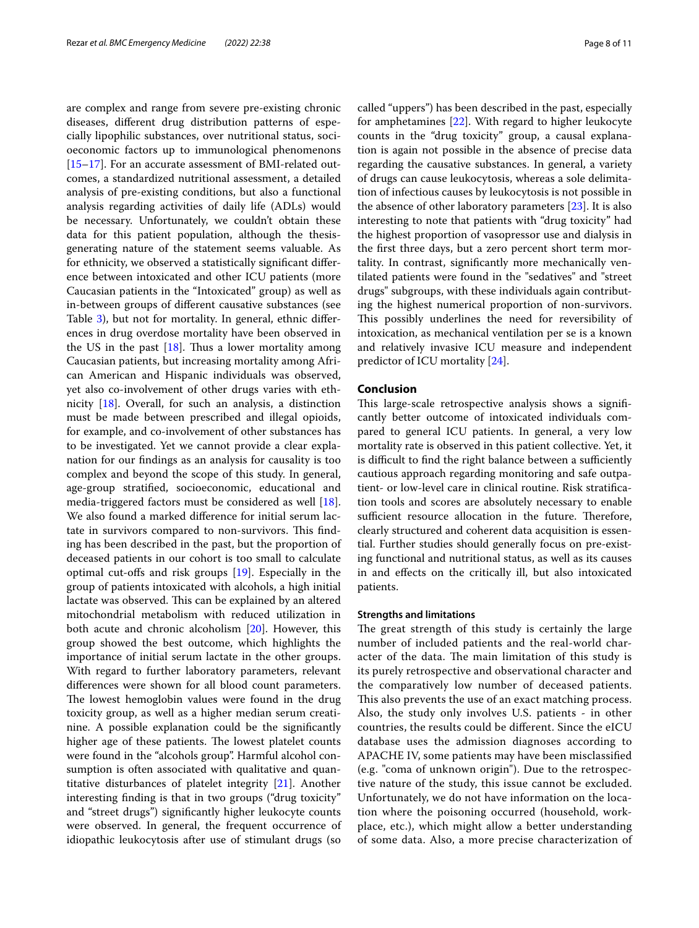are complex and range from severe pre-existing chronic diseases, diferent drug distribution patterns of especially lipophilic substances, over nutritional status, socioeconomic factors up to immunological phenomenons [[15–](#page-10-13)[17](#page-10-15)]. For an accurate assessment of BMI-related outcomes, a standardized nutritional assessment, a detailed analysis of pre-existing conditions, but also a functional analysis regarding activities of daily life (ADLs) would be necessary. Unfortunately, we couldn't obtain these data for this patient population, although the thesisgenerating nature of the statement seems valuable. As for ethnicity, we observed a statistically signifcant diference between intoxicated and other ICU patients (more Caucasian patients in the "Intoxicated" group) as well as in-between groups of diferent causative substances (see Table [3](#page-8-0)), but not for mortality. In general, ethnic diferences in drug overdose mortality have been observed in the US in the past  $[18]$  $[18]$  $[18]$ . Thus a lower mortality among Caucasian patients, but increasing mortality among African American and Hispanic individuals was observed, yet also co-involvement of other drugs varies with ethnicity [\[18](#page-10-16)]. Overall, for such an analysis, a distinction must be made between prescribed and illegal opioids, for example, and co-involvement of other substances has to be investigated. Yet we cannot provide a clear explanation for our fndings as an analysis for causality is too complex and beyond the scope of this study. In general, age-group stratifed, socioeconomic, educational and media-triggered factors must be considered as well [\[18](#page-10-16)]. We also found a marked diference for initial serum lactate in survivors compared to non-survivors. This finding has been described in the past, but the proportion of deceased patients in our cohort is too small to calculate optimal cut-ofs and risk groups [\[19](#page-10-17)]. Especially in the group of patients intoxicated with alcohols, a high initial lactate was observed. This can be explained by an altered mitochondrial metabolism with reduced utilization in both acute and chronic alcoholism [\[20\]](#page-10-18). However, this group showed the best outcome, which highlights the importance of initial serum lactate in the other groups. With regard to further laboratory parameters, relevant diferences were shown for all blood count parameters. The lowest hemoglobin values were found in the drug toxicity group, as well as a higher median serum creatinine. A possible explanation could be the signifcantly higher age of these patients. The lowest platelet counts were found in the "alcohols group". Harmful alcohol consumption is often associated with qualitative and quantitative disturbances of platelet integrity [\[21](#page-10-19)]. Another interesting fnding is that in two groups ("drug toxicity" and "street drugs") signifcantly higher leukocyte counts were observed. In general, the frequent occurrence of idiopathic leukocytosis after use of stimulant drugs (so called "uppers") has been described in the past, especially for amphetamines [\[22](#page-10-20)]. With regard to higher leukocyte counts in the "drug toxicity" group, a causal explanation is again not possible in the absence of precise data regarding the causative substances. In general, a variety of drugs can cause leukocytosis, whereas a sole delimitation of infectious causes by leukocytosis is not possible in the absence of other laboratory parameters [[23\]](#page-10-21). It is also interesting to note that patients with "drug toxicity" had the highest proportion of vasopressor use and dialysis in the frst three days, but a zero percent short term mortality. In contrast, signifcantly more mechanically ventilated patients were found in the "sedatives" and "street drugs" subgroups, with these individuals again contributing the highest numerical proportion of non-survivors. This possibly underlines the need for reversibility of intoxication, as mechanical ventilation per se is a known and relatively invasive ICU measure and independent predictor of ICU mortality [[24\]](#page-10-22).

## **Conclusion**

This large-scale retrospective analysis shows a significantly better outcome of intoxicated individuals compared to general ICU patients. In general, a very low mortality rate is observed in this patient collective. Yet, it is difficult to find the right balance between a sufficiently cautious approach regarding monitoring and safe outpatient- or low-level care in clinical routine. Risk stratifcation tools and scores are absolutely necessary to enable sufficient resource allocation in the future. Therefore, clearly structured and coherent data acquisition is essential. Further studies should generally focus on pre-existing functional and nutritional status, as well as its causes in and efects on the critically ill, but also intoxicated patients.

#### **Strengths and limitations**

The great strength of this study is certainly the large number of included patients and the real-world character of the data. The main limitation of this study is its purely retrospective and observational character and the comparatively low number of deceased patients. This also prevents the use of an exact matching process. Also, the study only involves U.S. patients - in other countries, the results could be diferent. Since the eICU database uses the admission diagnoses according to APACHE IV, some patients may have been misclassifed (e.g. "coma of unknown origin"). Due to the retrospective nature of the study, this issue cannot be excluded. Unfortunately, we do not have information on the location where the poisoning occurred (household, workplace, etc.), which might allow a better understanding of some data. Also, a more precise characterization of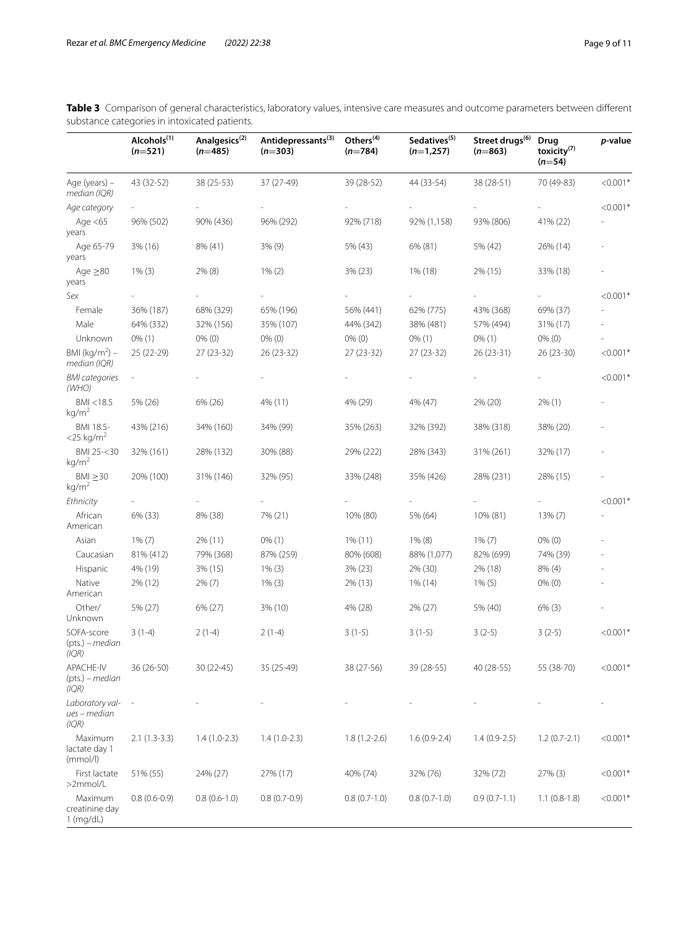<span id="page-8-0"></span>

|                                               | Table 3 Comparison of general characteristics, laboratory values, intensive care measures and outcome parameters between different |  |
|-----------------------------------------------|------------------------------------------------------------------------------------------------------------------------------------|--|
| substance categories in intoxicated patients. |                                                                                                                                    |  |

|                                          | Alcohols <sup>(1)</sup><br>$(n=521)$ | Analgesics <sup>(2)</sup><br>$(n=485)$ | Antidepressants <sup>(3)</sup><br>$(n=303)$ | Others <sup>(4)</sup><br>$(n=784)$ | Sedatives <sup>(5)</sup><br>$(n=1,257)$ | Street drugs <sup>(6)</sup><br>$(n=863)$ | Drug<br>toxicity <sup>(7)</sup><br>$(n=54)$ | p-value    |
|------------------------------------------|--------------------------------------|----------------------------------------|---------------------------------------------|------------------------------------|-----------------------------------------|------------------------------------------|---------------------------------------------|------------|
| Age (years) -<br>median (IQR)            | 43 (32-52)                           | 38 (25-53)                             | 37 (27-49)                                  | 39 (28-52)                         | 44 (33-54)                              | 38 (28-51)                               | 70 (49-83)                                  | $< 0.001*$ |
| Age category                             |                                      |                                        |                                             |                                    |                                         |                                          |                                             | $< 0.001*$ |
| Age $<$ 65<br>years                      | 96% (502)                            | 90% (436)                              | 96% (292)                                   | 92% (718)                          | 92% (1,158)                             | 93% (806)                                | 41% (22)                                    |            |
| Age 65-79<br>years                       | 3% (16)                              | 8% (41)                                | 3% (9)                                      | 5% (43)                            | 6% (81)                                 | 5% (42)                                  | 26% (14)                                    |            |
| Age $\geq$ 80<br>years                   | $1\%$ (3)                            | 2% (8)                                 | $1\% (2)$                                   | 3% (23)                            | 1% (18)                                 | 2% (15)                                  | 33% (18)                                    |            |
| Sex                                      |                                      |                                        |                                             |                                    |                                         |                                          |                                             | $< 0.001*$ |
| Female                                   | 36% (187)                            | 68% (329)                              | 65% (196)                                   | 56% (441)                          | 62% (775)                               | 43% (368)                                | 69% (37)                                    |            |
| Male                                     | 64% (332)                            | 32% (156)                              | 35% (107)                                   | 44% (342)                          | 38% (481)                               | 57% (494)                                | 31% (17)                                    |            |
| Unknown                                  | $0\%$ (1)                            | $0\%$ $(0)$                            | $0\%$ (0)                                   | $0\%$ (0)                          | $0\%$ (1)                               | $0\%$ (1)                                | $0\%$ (0)                                   |            |
| BMI ( $kg/m2$ ) –<br>median (IQR)        | 25 (22-29)                           | 27 (23-32)                             | 26 (23-32)                                  | 27 (23-32)                         | 27 (23-32)                              | 26 (23-31)                               | 26 (23-30)                                  | $< 0.001*$ |
| <b>BMI</b> categories<br>(WHO)           |                                      |                                        |                                             |                                    |                                         |                                          |                                             | $< 0.001*$ |
| BMI <18.5<br>kg/m <sup>2</sup>           | 5% (26)                              | 6% (26)                                | 4% (11)                                     | 4% (29)                            | 4% (47)                                 | 2% (20)                                  | $2\%$ (1)                                   |            |
| BMI 18.5-<br>$<$ 25 kg/m <sup>2</sup>    | 43% (216)                            | 34% (160)                              | 34% (99)                                    | 35% (263)                          | 32% (392)                               | 38% (318)                                | 38% (20)                                    |            |
| BMI 25-<30<br>kg/m <sup>2</sup>          | 32% (161)                            | 28% (132)                              | 30% (88)                                    | 29% (222)                          | 28% (343)                               | 31% (261)                                | 32% (17)                                    |            |
| $BMI \geq 30$<br>kg/m <sup>2</sup>       | 20% (100)                            | 31% (146)                              | 32% (95)                                    | 33% (248)                          | 35% (426)                               | 28% (231)                                | 28% (15)                                    |            |
| Ethnicity                                |                                      |                                        |                                             |                                    |                                         |                                          |                                             | $< 0.001*$ |
| African<br>American                      | 6% (33)                              | 8% (38)                                | 7% (21)                                     | 10% (80)                           | 5% (64)                                 | 10% (81)                                 | 13% (7)                                     |            |
| Asian                                    | $1\%$ $(7)$                          | 2% (11)                                | $0\%$ (1)                                   | $1\%$ (11)                         | $1\%$ (8)                               | $1\%$ $(7)$                              | $0\%$ (0)                                   |            |
| Caucasian                                | 81% (412)                            | 79% (368)                              | 87% (259)                                   | 80% (608)                          | 88% (1,077)                             | 82% (699)                                | 74% (39)                                    |            |
| Hispanic                                 | 4% (19)                              | 3% (15)                                | $1\%$ (3)                                   | 3% (23)                            | 2% (30)                                 | 2% (18)                                  | $8\%$ (4)                                   |            |
| Native<br>American                       | 2% (12)                              | $2\%$ (7)                              | $1\%$ (3)                                   | 2% (13)                            | 1% (14)                                 | $1\%$ (5)                                | $0\%$ (0)                                   |            |
| Other/<br>Unknown                        | 5% (27)                              | 6% (27)                                | 3% (10)                                     | 4% (28)                            | 2% (27)                                 | 5% (40)                                  | $6\%$ (3)                                   |            |
| SOFA-score<br>(pts.) – median<br>(IQR)   | $3(1-4)$                             | $2(1-4)$                               | $2(1-4)$                                    | $3(1-5)$                           | $3(1-5)$                                | $3(2-5)$                                 | $3(2-5)$                                    | $< 0.001*$ |
| APACHE-IV<br>$(pts)$ – median<br>(IQR)   | 36 (26-50)                           | 30 (22-45)                             | 35 (25-49)                                  | 38 (27-56)                         | 39 (28-55)                              | 40 (28-55)                               | 55 (38-70)                                  | $< 0.001*$ |
| Laboratory val-<br>ues - median<br>(IQR) |                                      |                                        |                                             |                                    |                                         |                                          |                                             |            |
| Maximum<br>lactate day 1<br>(mmol/l)     | $2.1(1.3-3.3)$                       | $1.4(1.0-2.3)$                         | $1.4(1.0-2.3)$                              | $1.8(1.2-2.6)$                     | $1.6(0.9-2.4)$                          | $1.4(0.9-2.5)$                           | $1.2(0.7-2.1)$                              | $< 0.001*$ |
| First lactate<br>>2mmol/L                | 51% (55)                             | 24% (27)                               | 27% (17)                                    | 40% (74)                           | 32% (76)                                | 32% (72)                                 | $27\%$ (3)                                  | $< 0.001*$ |
| Maximum<br>creatinine day<br>$1$ (mg/dL) | $0.8(0.6-0.9)$                       | $0.8(0.6-1.0)$                         | $0.8(0.7-0.9)$                              | $0.8(0.7-1.0)$                     | $0.8(0.7-1.0)$                          | $0.9(0.7-1.1)$                           | $1.1(0.8-1.8)$                              | $< 0.001*$ |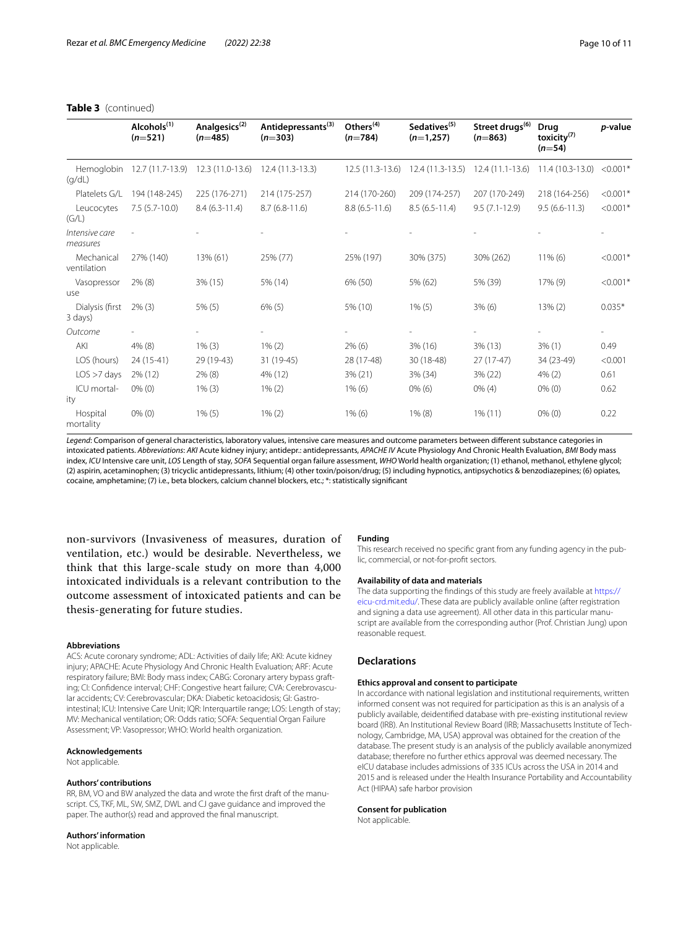|                            | Alcohols <sup>(1)</sup><br>$(n=521)$ | Analgesics <sup>(2)</sup><br>$(n=485)$ | Antidepressants <sup>(3)</sup><br>$(n=303)$ | Others <sup>(4)</sup><br>$(n=784)$ | Sedatives <sup>(5)</sup><br>$(n=1,257)$ | Street drugs <sup>(6)</sup><br>$(n=863)$           | <b>Drug</b><br>toxicity $^{(7)}$<br>$(n=54)$ | p-value    |
|----------------------------|--------------------------------------|----------------------------------------|---------------------------------------------|------------------------------------|-----------------------------------------|----------------------------------------------------|----------------------------------------------|------------|
| Hemoglobin<br>(q/dL)       |                                      | 12.7 (11.7-13.9) 12.3 (11.0-13.6)      | $12.4(11.3-13.3)$                           | $12.5(11.3-13.6)$                  |                                         | 12.4 (11.3-13.5) 12.4 (11.1-13.6) 11.4 (10.3-13.0) |                                              | $< 0.001*$ |
| Platelets G/L              | 194 (148-245)                        | 225 (176-271)                          | 214 (175-257)                               | 214 (170-260)                      | 209 (174-257)                           | 207 (170-249)                                      | 218 (164-256)                                | $< 0.001*$ |
| Leucocytes<br>(G/L)        | $7.5(5.7-10.0)$                      | $8.4(6.3-11.4)$                        | $8.7(6.8-11.6)$                             | $8.8(6.5-11.6)$                    | $8.5(6.5-11.4)$                         | $9.5(7.1-12.9)$                                    | $9.5(6.6-11.3)$                              | $< 0.001*$ |
| Intensive care<br>measures |                                      |                                        |                                             |                                    |                                         |                                                    |                                              |            |
| Mechanical<br>ventilation  | 27% (140)                            | 13% (61)                               | 25% (77)                                    | 25% (197)                          | 30% (375)                               | 30% (262)                                          | $11\%$ (6)                                   | $< 0.001*$ |
| Vasopressor<br>use         | $2\%$ (8)                            | 3% (15)                                | 5% (14)                                     | 6% (50)                            | 5% (62)                                 | 5% (39)                                            | 17% (9)                                      | $< 0.001*$ |
| Dialysis (first<br>3 days) | $2\%$ (3)                            | $5\%$ (5)                              | $6\%$ (5)                                   | 5% (10)                            | $1\%$ (5)                               | $3\%$ (6)                                          | $13\% (2)$                                   | $0.035*$   |
| Outcome                    |                                      |                                        |                                             |                                    |                                         |                                                    |                                              |            |
| AKI                        | $4\%$ (8)                            | $1\%$ (3)                              | $1\%$ (2)                                   | $2\%$ (6)                          | $3\%$ (16)                              | $3\%$ (13)                                         | $3\%$ (1)                                    | 0.49       |
| LOS (hours)                | $24(15-41)$                          | 29 (19-43)                             | 31 (19-45)                                  | 28 (17-48)                         | 30 (18-48)                              | $27(17-47)$                                        | 34 (23-49)                                   | < 0.001    |
| LOS > 7 days               | 2% (12)                              | $2\%$ (8)                              | 4% (12)                                     | 3% (21)                            | 3% (34)                                 | 3% (22)                                            | $4\%$ (2)                                    | 0.61       |
| ICU mortal-<br>ity         | $0\%$ (0)                            | $1\%$ (3)                              | $1\%$ (2)                                   | $1\%$ (6)                          | $0\%$ (6)                               | $0\%$ (4)                                          | $0\%$ (0)                                    | 0.62       |
| Hospital<br>mortality      | $0\%$ (0)                            | $1\%$ (5)                              | $1\%$ (2)                                   | $1\%$ (6)                          | $1\%$ (8)                               | $1\%$ (11)                                         | $0\%$ (0)                                    | 0.22       |

## **Table 3** (continued)

*Legend*: Comparison of general characteristics, laboratory values, intensive care measures and outcome parameters between diferent substance categories in intoxicated patients. Abbreviations: AKI Acute kidney injury; antidepre: antidepressants, APACHE IV Acute Physiology And Chronic Health Evaluation, BMI Body mass index, *ICU* Intensive care unit, *LOS* Length of stay, *SOFA* Sequential organ failure assessment, *WHO* World health organization; (1) ethanol, methanol, ethylene glycol; (2) aspirin, acetaminophen; (3) tricyclic antidepressants, lithium; (4) other toxin/poison/drug; (5) including hypnotics, antipsychotics & benzodiazepines; (6) opiates, cocaine, amphetamine; (7) i.e., beta blockers, calcium channel blockers, etc.; \*: statistically signifcant

non-survivors (Invasiveness of measures, duration of ventilation, etc.) would be desirable. Nevertheless, we think that this large-scale study on more than 4,000 intoxicated individuals is a relevant contribution to the outcome assessment of intoxicated patients and can be thesis-generating for future studies.

#### **Abbreviations**

ACS: Acute coronary syndrome; ADL: Activities of daily life; AKI: Acute kidney injury; APACHE: Acute Physiology And Chronic Health Evaluation; ARF: Acute respiratory failure; BMI: Body mass index; CABG: Coronary artery bypass grafting; CI: Confdence interval; CHF: Congestive heart failure; CVA: Cerebrovascular accidents; CV: Cerebrovascular; DKA: Diabetic ketoacidosis; GI: Gastrointestinal; ICU: Intensive Care Unit; IQR: Interquartile range; LOS: Length of stay; MV: Mechanical ventilation; OR: Odds ratio; SOFA: Sequential Organ Failure Assessment; VP: Vasopressor; WHO: World health organization.

#### **Acknowledgements**

Not applicable.

#### **Authors' contributions**

RR, BM, VO and BW analyzed the data and wrote the frst draft of the manuscript. CS, TKF, ML, SW, SMZ, DWL and CJ gave guidance and improved the paper. The author(s) read and approved the fnal manuscript.

#### **Authors' information**

Not applicable.

#### **Funding**

This research received no specifc grant from any funding agency in the public, commercial, or not-for-proft sectors.

#### **Availability of data and materials**

The data supporting the fndings of this study are freely available at [https://](https://eicu-crd.mit.edu/) [eicu-crd.mit.edu/](https://eicu-crd.mit.edu/). These data are publicly available online (after registration and signing a data use agreement). All other data in this particular manuscript are available from the corresponding author (Prof. Christian Jung) upon reasonable request.

#### **Declarations**

#### **Ethics approval and consent to participate**

In accordance with national legislation and institutional requirements, written informed consent was not required for participation as this is an analysis of a publicly available, deidentifed database with pre-existing institutional review board (IRB). An Institutional Review Board (IRB; Massachusetts Institute of Technology, Cambridge, MA, USA) approval was obtained for the creation of the database. The present study is an analysis of the publicly available anonymized database; therefore no further ethics approval was deemed necessary. The eICU database includes admissions of 335 ICUs across the USA in 2014 and 2015 and is released under the Health Insurance Portability and Accountability Act (HIPAA) safe harbor provision

#### **Consent for publication**

Not applicable.